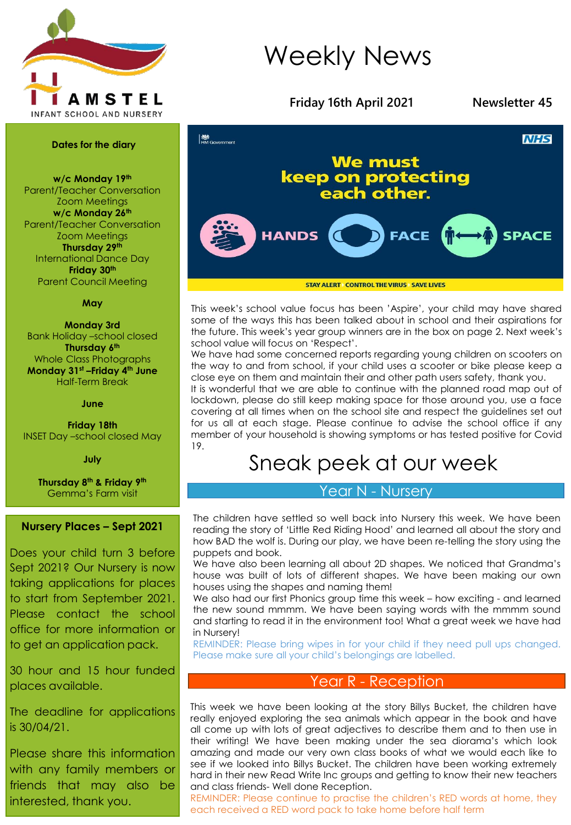

# Weekly News



This week's school value focus has been 'Aspire', your child may have shared some of the ways this has been talked about in school and their aspirations for the future. This week's year group winners are in the box on page 2. Next week's school value will focus on 'Respect'.

We have had some concerned reports regarding young children on scooters on the way to and from school, if your child uses a scooter or bike please keep a close eye on them and maintain their and other path users safety, thank you.

It is wonderful that we are able to continue with the planned road map out of lockdown, please do still keep making space for those around you, use a face covering at all times when on the school site and respect the guidelines set out for us all at each stage. Please continue to advise the school office if any member of your household is showing symptoms or has tested positive for Covid 19.

# Sneak peek at our week

# Year N - Nursery

The children have settled so well back into Nursery this week. We have been reading the story of 'Little Red Riding Hood' and learned all about the story and how BAD the wolf is. During our play, we have been re-telling the story using the puppets and book.

We have also been learning all about 2D shapes. We noticed that Grandma's house was built of lots of different shapes. We have been making our own houses using the shapes and naming them!

We also had our first Phonics group time this week – how exciting - and learned the new sound mmmm. We have been saying words with the mmmm sound and starting to read it in the environment too! What a great week we have had in Nursery!

REMINDER: Please bring wipes in for your child if they need pull ups changed. Please make sure all your child's belongings are labelled.

# Year R - Reception

This week we have been looking at the story Billys Bucket, the children have really enjoyed exploring the sea animals which appear in the book and have all come up with lots of great adjectives to describe them and to then use in their writing! We have been making under the sea diorama's which look amazing and made our very own class books of what we would each like to see if we looked into Billys Bucket. The children have been working extremely hard in their new Read Write Inc groups and getting to know their new teachers and class friends- Well done Reception.

REMINDER: Please continue to practise the children's RED words at home, they each received a RED word pack to take home before half term

#### **Dates for the diary**

**w/c Monday 19th** Parent/Teacher Conversation Zoom Meetings **w/c Monday 26th** Parent/Teacher Conversation Zoom Meetings **Thursday 29th** International Dance Day **Friday 30th** Parent Council Meeting

#### **May**

**Monday 3rd** Bank Holiday –school closed **Thursday 6th** Whole Class Photographs **Monday 31st –Friday 4th June** Half-Term Break

#### **June**

**Friday 18th** INSET Day –school closed May

**July**

**Thursday 8th & Friday 9th** Gemma's Farm visit

### **Nursery Places – Sept 2021**

Does your child turn 3 before Sept 2021? Our Nursery is now taking applications for places to start from September 2021. Please contact the school office for more information or to get an application pack.

30 hour and 15 hour funded places available.

The deadline for applications is 30/04/21.

Please share this information with any family members or friends that may also be interested, thank you.